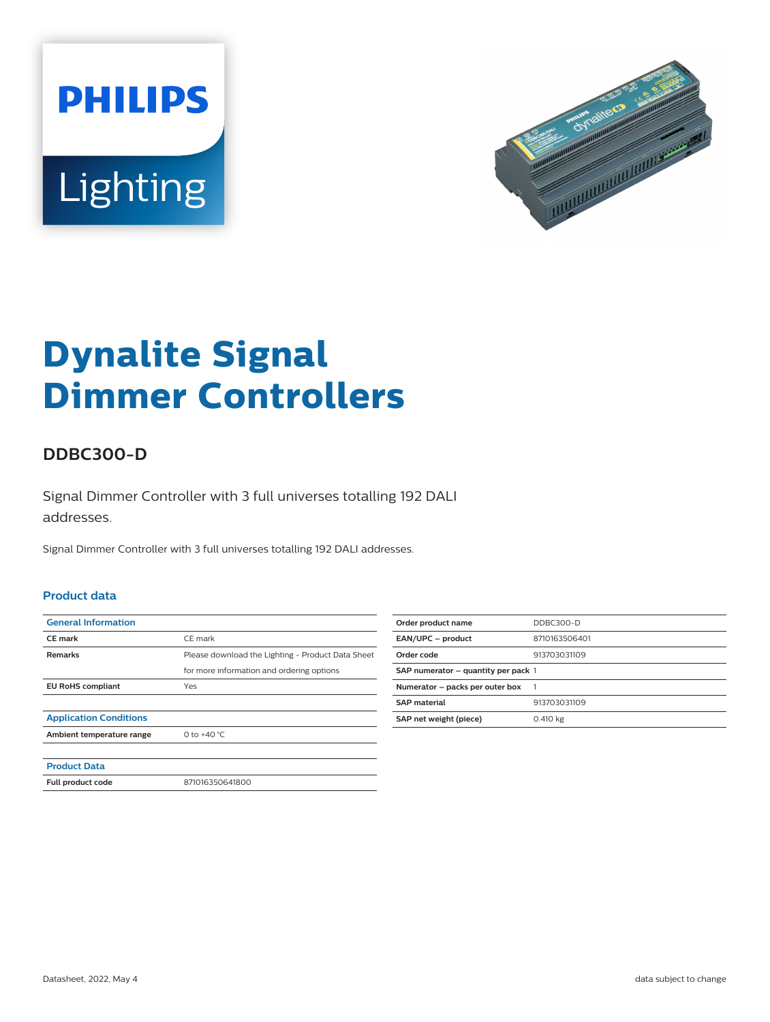



# **Dynalite Signal Dimmer Controllers**

## **DDBC300-D**

Signal Dimmer Controller with 3 full universes totalling 192 DALI addresses.

Signal Dimmer Controller with 3 full universes totalling 192 DALI addresses.

#### **Product data**

| <b>General Information</b>    |                                                   |
|-------------------------------|---------------------------------------------------|
| <b>CE</b> mark                | CE mark                                           |
| <b>Remarks</b>                | Please download the Lighting - Product Data Sheet |
|                               | for more information and ordering options         |
| <b>EU RoHS compliant</b>      | Yes                                               |
|                               |                                                   |
| <b>Application Conditions</b> |                                                   |
| Ambient temperature range     | 0 to $+40 °C$                                     |
|                               |                                                   |
| <b>Product Data</b>           |                                                   |
| Full product code             | 871016350641800                                   |
|                               |                                                   |

| Order product name                  | DDBC300-D     |
|-------------------------------------|---------------|
| EAN/UPC - product                   | 8710163506401 |
| Order code                          | 913703031109  |
| SAP numerator - quantity per pack 1 |               |
| Numerator - packs per outer box     |               |
| <b>SAP</b> material                 | 913703031109  |
| SAP net weight (piece)              | 0.410 kg      |
|                                     |               |